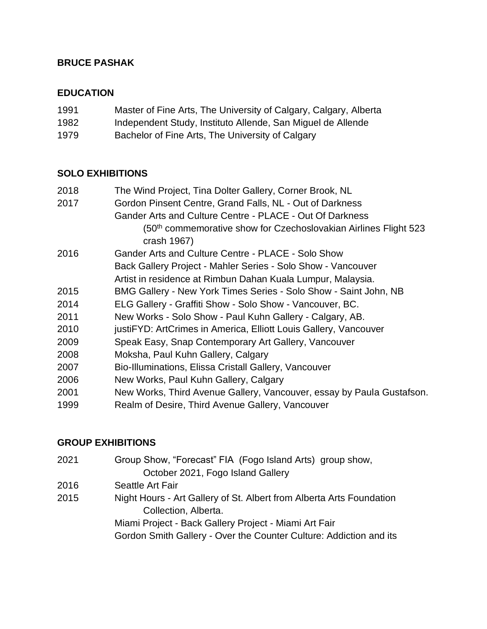### **BRUCE PASHAK**

#### **EDUCATION**

| 1991 | Master of Fine Arts, The University of Calgary, Calgary, Alberta |  |  |  |  |
|------|------------------------------------------------------------------|--|--|--|--|
|------|------------------------------------------------------------------|--|--|--|--|

- 1982 Independent Study, Instituto Allende, San Miguel de Allende
- 1979 Bachelor of Fine Arts, The University of Calgary

#### **SOLO EXHIBITIONS**

| 2018 | The Wind Project, Tina Dolter Gallery, Corner Brook, NL                                     |  |  |
|------|---------------------------------------------------------------------------------------------|--|--|
| 2017 | Gordon Pinsent Centre, Grand Falls, NL - Out of Darkness                                    |  |  |
|      | Gander Arts and Culture Centre - PLACE - Out Of Darkness                                    |  |  |
|      | (50 <sup>th</sup> commemorative show for Czechoslovakian Airlines Flight 523<br>crash 1967) |  |  |
| 2016 | Gander Arts and Culture Centre - PLACE - Solo Show                                          |  |  |
|      | Back Gallery Project - Mahler Series - Solo Show - Vancouver                                |  |  |
|      | Artist in residence at Rimbun Dahan Kuala Lumpur, Malaysia.                                 |  |  |
| 2015 | BMG Gallery - New York Times Series - Solo Show - Saint John, NB                            |  |  |
| 2014 | ELG Gallery - Graffiti Show - Solo Show - Vancouver, BC.                                    |  |  |
| 2011 | New Works - Solo Show - Paul Kuhn Gallery - Calgary, AB.                                    |  |  |
| 2010 | justiFYD: ArtCrimes in America, Elliott Louis Gallery, Vancouver                            |  |  |
| 2009 | Speak Easy, Snap Contemporary Art Gallery, Vancouver                                        |  |  |
| 2008 | Moksha, Paul Kuhn Gallery, Calgary                                                          |  |  |
| 2007 | Bio-Illuminations, Elissa Cristall Gallery, Vancouver                                       |  |  |
| 2006 | New Works, Paul Kuhn Gallery, Calgary                                                       |  |  |
| 2001 | New Works, Third Avenue Gallery, Vancouver, essay by Paula Gustafson.                       |  |  |
| 1999 | Realm of Desire, Third Avenue Gallery, Vancouver                                            |  |  |

### **GROUP EXHIBITIONS**

- 2021 Group Show, "Forecast" FIA (Fogo Island Arts) group show, October 2021, Fogo Island Gallery
- 2016 Seattle Art Fair
- 2015 Night Hours Art Gallery of St. Albert from Alberta Arts Foundation Collection, Alberta. Miami Project - Back Gallery Project - Miami Art Fair

Gordon Smith Gallery - Over the Counter Culture: Addiction and its